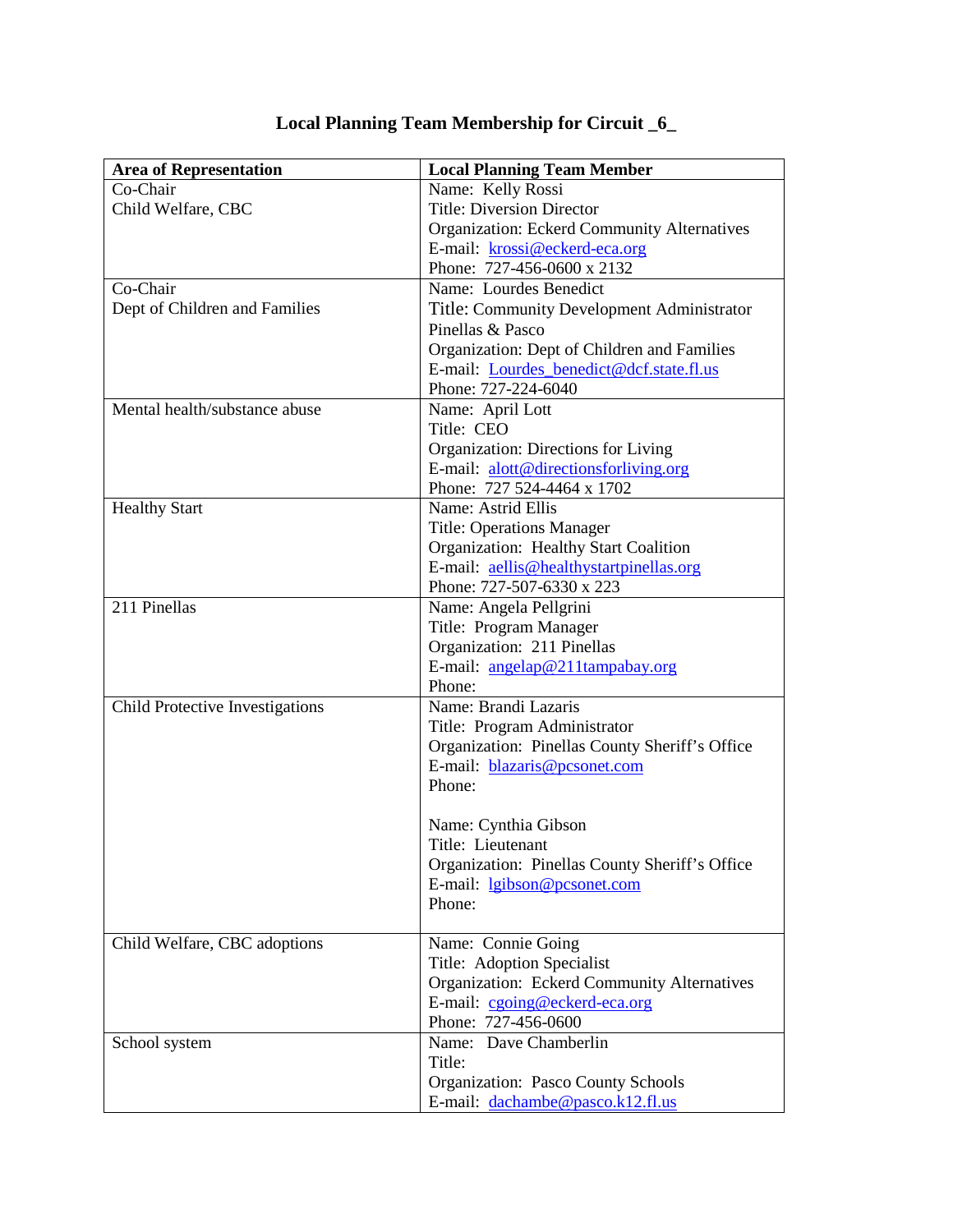| Co-Chair<br>Name: Kelly Rossi<br><b>Title: Diversion Director</b><br>Child Welfare, CBC |
|-----------------------------------------------------------------------------------------|
|                                                                                         |
|                                                                                         |
| <b>Organization: Eckerd Community Alternatives</b>                                      |
| E-mail: krossi@eckerd-eca.org                                                           |
| Phone: 727-456-0600 x 2132                                                              |
| Co-Chair<br>Name: Lourdes Benedict                                                      |
| Dept of Children and Families<br>Title: Community Development Administrator             |
| Pinellas & Pasco                                                                        |
| Organization: Dept of Children and Families                                             |
| E-mail: Lourdes benedict@dcf.state.fl.us                                                |
| Phone: 727-224-6040                                                                     |
| Mental health/substance abuse<br>Name: April Lott                                       |
| Title: CEO                                                                              |
| Organization: Directions for Living                                                     |
| E-mail: alott@directionsforliving.org                                                   |
| Phone: 727 524-4464 x 1702                                                              |
| Name: Astrid Ellis<br><b>Healthy Start</b>                                              |
| <b>Title: Operations Manager</b>                                                        |
| Organization: Healthy Start Coalition                                                   |
| E-mail: aellis@healthystartpinellas.org                                                 |
| Phone: 727-507-6330 x 223                                                               |
| 211 Pinellas<br>Name: Angela Pellgrini                                                  |
| Title: Program Manager                                                                  |
| Organization: 211 Pinellas                                                              |
| E-mail: angelap@211tampabay.org                                                         |
| Phone:                                                                                  |
| Name: Brandi Lazaris<br>Child Protective Investigations                                 |
| Title: Program Administrator                                                            |
| Organization: Pinellas County Sheriff's Office                                          |
| E-mail: blazaris@pcsonet.com                                                            |
| Phone:                                                                                  |
|                                                                                         |
| Name: Cynthia Gibson                                                                    |
| Title: Lieutenant                                                                       |
| Organization: Pinellas County Sheriff's Office                                          |
| E-mail: lgibson@pcsonet.com                                                             |
| Phone:                                                                                  |
|                                                                                         |
| Child Welfare, CBC adoptions<br>Name: Connie Going<br>Title: Adoption Specialist        |
| <b>Organization: Eckerd Community Alternatives</b>                                      |
| E-mail: cgoing@eckerd-eca.org                                                           |
| Phone: 727-456-0600                                                                     |
| Name: Dave Chamberlin<br>School system                                                  |
| Title:                                                                                  |
| <b>Organization: Pasco County Schools</b>                                               |
| E-mail: dachambe@pasco.k12.fl.us                                                        |

## **Local Planning Team Membership for Circuit \_6\_**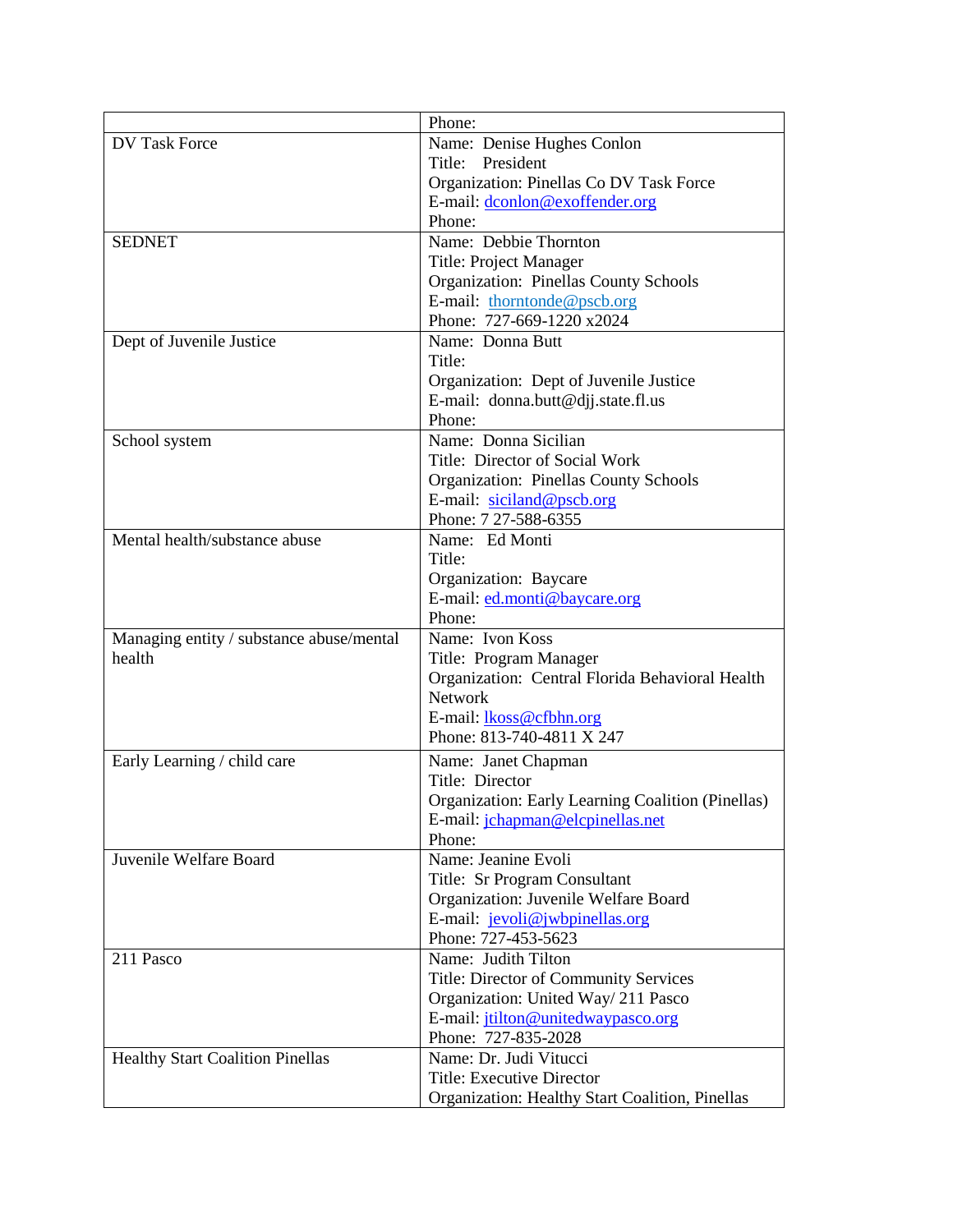|                                          | Phone:                                                   |
|------------------------------------------|----------------------------------------------------------|
| <b>DV Task Force</b>                     | Name: Denise Hughes Conlon                               |
|                                          | Title: President                                         |
|                                          | Organization: Pinellas Co DV Task Force                  |
|                                          | E-mail: dconlon@exoffender.org                           |
|                                          | Phone:                                                   |
| <b>SEDNET</b>                            | Name: Debbie Thornton                                    |
|                                          | Title: Project Manager                                   |
|                                          | <b>Organization: Pinellas County Schools</b>             |
|                                          | E-mail: thorntonde@pscb.org                              |
|                                          | Phone: 727-669-1220 x2024                                |
| Dept of Juvenile Justice                 | Name: Donna Butt                                         |
|                                          | Title:                                                   |
|                                          | Organization: Dept of Juvenile Justice                   |
|                                          | E-mail: donna.butt@djj.state.fl.us                       |
|                                          | Phone:                                                   |
| School system                            | Name: Donna Sicilian                                     |
|                                          | Title: Director of Social Work                           |
|                                          | <b>Organization: Pinellas County Schools</b>             |
|                                          | E-mail: siciland@pscb.org                                |
|                                          | Phone: 7 27-588-6355                                     |
| Mental health/substance abuse            | Name: Ed Monti                                           |
|                                          | Title:                                                   |
|                                          | Organization: Baycare                                    |
|                                          | E-mail: ed.monti@baycare.org                             |
|                                          | Phone:                                                   |
| Managing entity / substance abuse/mental | Name: Ivon Koss                                          |
| health                                   | Title: Program Manager                                   |
|                                          | Organization: Central Florida Behavioral Health          |
|                                          | <b>Network</b>                                           |
|                                          | E-mail: lkoss@cfbhn.org                                  |
|                                          | Phone: 813-740-4811 X 247                                |
| Early Learning / child care              | Name: Janet Chapman                                      |
|                                          | Title: Director                                          |
|                                          | <b>Organization: Early Learning Coalition (Pinellas)</b> |
|                                          | E-mail: jchapman@elcpinellas.net                         |
|                                          | Phone:                                                   |
| Juvenile Welfare Board                   | Name: Jeanine Evoli                                      |
|                                          | Title: Sr Program Consultant                             |
|                                          | Organization: Juvenile Welfare Board                     |
|                                          | E-mail: jevoli@jwbpinellas.org                           |
|                                          | Phone: 727-453-5623                                      |
| 211 Pasco                                | Name: Judith Tilton                                      |
|                                          | <b>Title: Director of Community Services</b>             |
|                                          | Organization: United Way/211 Pasco                       |
|                                          | E-mail: jtilton@unitedwaypasco.org                       |
|                                          | Phone: 727-835-2028                                      |
| <b>Healthy Start Coalition Pinellas</b>  | Name: Dr. Judi Vitucci                                   |
|                                          | Title: Executive Director                                |
|                                          | Organization: Healthy Start Coalition, Pinellas          |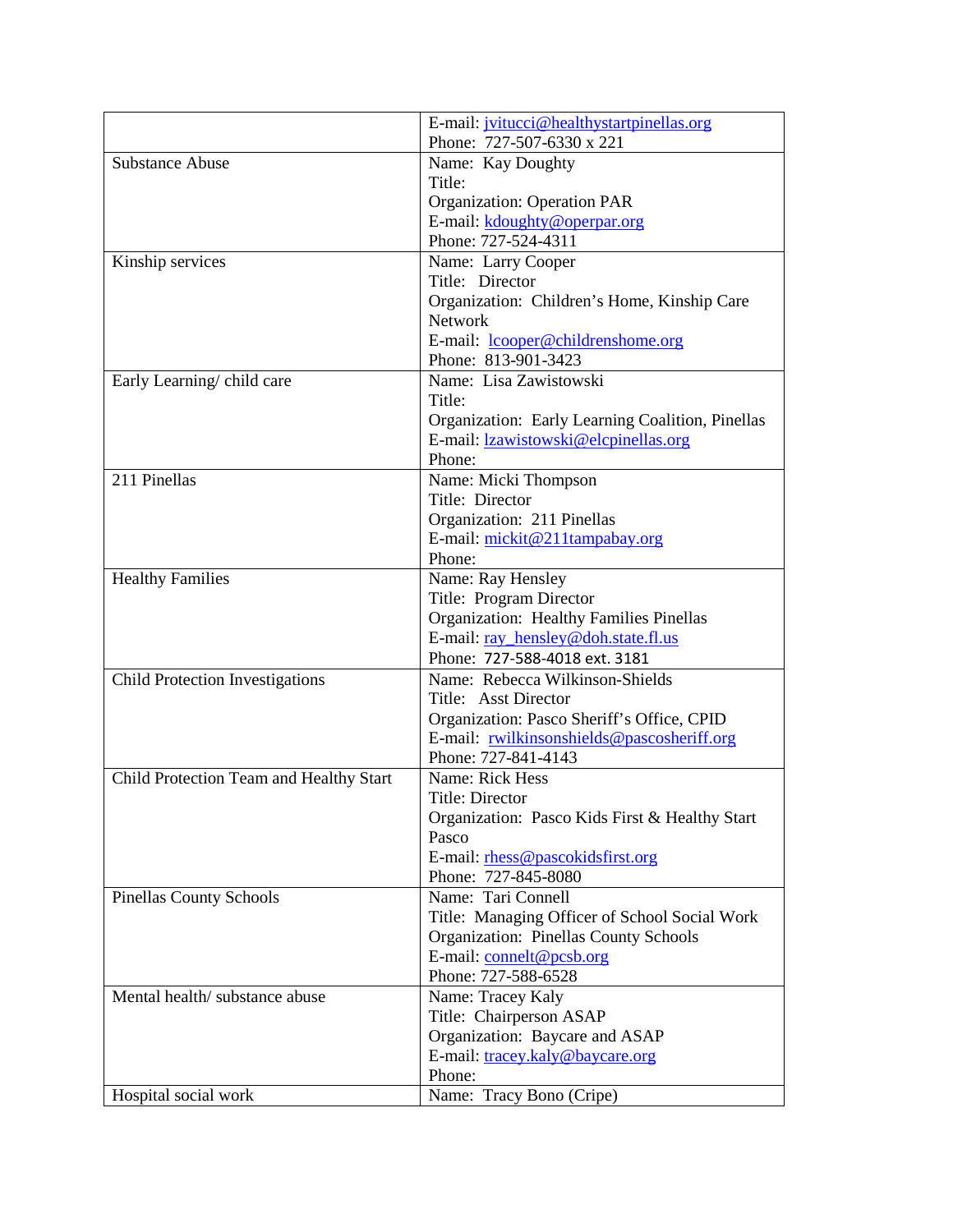|                                         | E-mail: jvitucci@healthystartpinellas.org               |
|-----------------------------------------|---------------------------------------------------------|
|                                         | Phone: 727-507-6330 x 221                               |
| <b>Substance Abuse</b>                  | Name: Kay Doughty                                       |
|                                         | Title:                                                  |
|                                         | <b>Organization: Operation PAR</b>                      |
|                                         | E-mail: kdoughty@operpar.org                            |
|                                         | Phone: 727-524-4311                                     |
| Kinship services                        | Name: Larry Cooper                                      |
|                                         | Title: Director                                         |
|                                         | Organization: Children's Home, Kinship Care             |
|                                         | <b>Network</b>                                          |
|                                         | E-mail: lcooper@childrenshome.org                       |
|                                         | Phone: 813-901-3423                                     |
| Early Learning/child care               | Name: Lisa Zawistowski                                  |
|                                         | Title:                                                  |
|                                         | Organization: Early Learning Coalition, Pinellas        |
|                                         | E-mail: lzawistowski@elcpinellas.org                    |
|                                         | Phone:                                                  |
| 211 Pinellas                            | Name: Micki Thompson                                    |
|                                         | Title: Director                                         |
|                                         | Organization: 211 Pinellas                              |
|                                         | E-mail: mickit@211tampabay.org                          |
|                                         | Phone:                                                  |
| <b>Healthy Families</b>                 | Name: Ray Hensley                                       |
|                                         | Title: Program Director                                 |
|                                         | <b>Organization: Healthy Families Pinellas</b>          |
|                                         | E-mail: ray_hensley@doh.state.fl.us                     |
|                                         | Phone: 727-588-4018 ext. 3181                           |
| Child Protection Investigations         | Name: Rebecca Wilkinson-Shields                         |
|                                         | Title: Asst Director                                    |
|                                         | Organization: Pasco Sheriff's Office, CPID              |
|                                         | E-mail: rwilkinsonshields@pascosheriff.org              |
|                                         | Phone: 727-841-4143<br>Name: Rick Hess                  |
| Child Protection Team and Healthy Start |                                                         |
|                                         | <b>Title: Director</b>                                  |
|                                         | Organization: Pasco Kids First & Healthy Start<br>Pasco |
|                                         | E-mail: rhess@pascokidsfirst.org                        |
|                                         | Phone: 727-845-8080                                     |
| <b>Pinellas County Schools</b>          | Name: Tari Connell                                      |
|                                         | Title: Managing Officer of School Social Work           |
|                                         | <b>Organization: Pinellas County Schools</b>            |
|                                         | E-mail: connelt@pcsb.org                                |
|                                         | Phone: 727-588-6528                                     |
| Mental health/substance abuse           | Name: Tracey Kaly                                       |
|                                         | Title: Chairperson ASAP                                 |
|                                         | Organization: Baycare and ASAP                          |
|                                         | E-mail: tracey.kaly@baycare.org                         |
|                                         | Phone:                                                  |
| Hospital social work                    | Name: Tracy Bono (Cripe)                                |